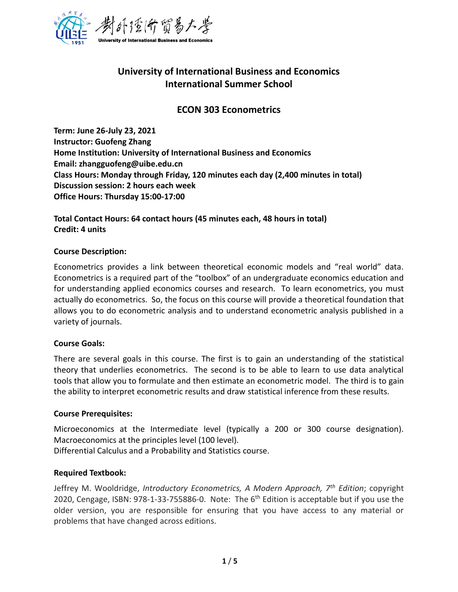

# **University of International Business and Economics International Summer School**

# **ECON 303 Econometrics**

**Term: June 26-July 23, 2021 Instructor: Guofeng Zhang Home Institution: University of International Business and Economics Email: zhangguofeng@uibe.edu.cn Class Hours: Monday through Friday, 120 minutes each day (2,400 minutes in total) Discussion session: 2 hours each week Office Hours: Thursday 15:00-17:00**

**Total Contact Hours: 64 contact hours (45 minutes each, 48 hours in total) Credit: 4 units**

#### **Course Description:**

Econometrics provides a link between theoretical economic models and "real world" data. Econometrics is a required part of the "toolbox" of an undergraduate economics education and for understanding applied economics courses and research. To learn econometrics, you must actually do econometrics. So, the focus on this course will provide a theoretical foundation that allows you to do econometric analysis and to understand econometric analysis published in a variety of journals.

## **Course Goals:**

There are several goals in this course. The first is to gain an understanding of the statistical theory that underlies econometrics. The second is to be able to learn to use data analytical tools that allow you to formulate and then estimate an econometric model. The third is to gain the ability to interpret econometric results and draw statistical inference from these results.

#### **Course Prerequisites:**

Microeconomics at the Intermediate level (typically a 200 or 300 course designation). Macroeconomics at the principles level (100 level). Differential Calculus and a Probability and Statistics course.

#### **Required Textbook:**

Jeffrey M. Wooldridge, *Introductory Econometrics, A Modern Approach, 7th Edition*; copyright 2020, Cengage, ISBN:  $978-1-33-755886-0$ . Note: The 6<sup>th</sup> Edition is acceptable but if you use the older version, you are responsible for ensuring that you have access to any material or problems that have changed across editions.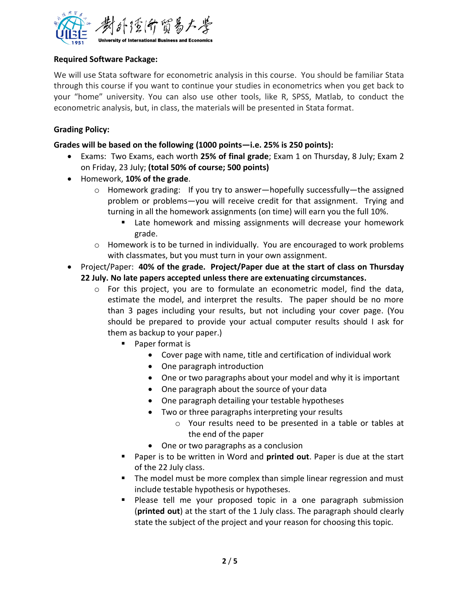

# **Required Software Package:**

We will use Stata software for econometric analysis in this course. You should be familiar Stata through this course if you want to continue your studies in econometrics when you get back to your "home" university. You can also use other tools, like R, SPSS, Matlab, to conduct the econometric analysis, but, in class, the materials will be presented in Stata format.

# **Grading Policy:**

# **Grades will be based on the following (1000 points—i.e. 25% is 250 points):**

- Exams: Two Exams, each worth **25% of final grade**; Exam 1 on Thursday, 8 July; Exam 2 on Friday, 23 July; **(total 50% of course; 500 points)**
- Homework, **10% of the grade**.
	- $\circ$  Homework grading: If you try to answer—hopefully successfully—the assigned problem or problems—you will receive credit for that assignment. Trying and turning in all the homework assignments (on time) will earn you the full 10%.
		- Late homework and missing assignments will decrease your homework grade.
	- o Homework is to be turned in individually. You are encouraged to work problems with classmates, but you must turn in your own assignment.
- Project/Paper: **40% of the grade. Project/Paper due at the start of class on Thursday 22 July. No late papers accepted unless there are extenuating circumstances.** 
	- $\circ$  For this project, you are to formulate an econometric model, find the data, estimate the model, and interpret the results. The paper should be no more than 3 pages including your results, but not including your cover page. (You should be prepared to provide your actual computer results should I ask for them as backup to your paper.)
		- Paper format is
			- Cover page with name, title and certification of individual work
			- One paragraph introduction
			- One or two paragraphs about your model and why it is important
			- One paragraph about the source of your data
			- One paragraph detailing your testable hypotheses
			- Two or three paragraphs interpreting your results
				- o Your results need to be presented in a table or tables at the end of the paper
			- One or two paragraphs as a conclusion
		- Paper is to be written in Word and **printed out**. Paper is due at the start of the 22 July class.
		- The model must be more complex than simple linear regression and must include testable hypothesis or hypotheses.
		- Please tell me your proposed topic in a one paragraph submission (**printed out**) at the start of the 1 July class. The paragraph should clearly state the subject of the project and your reason for choosing this topic.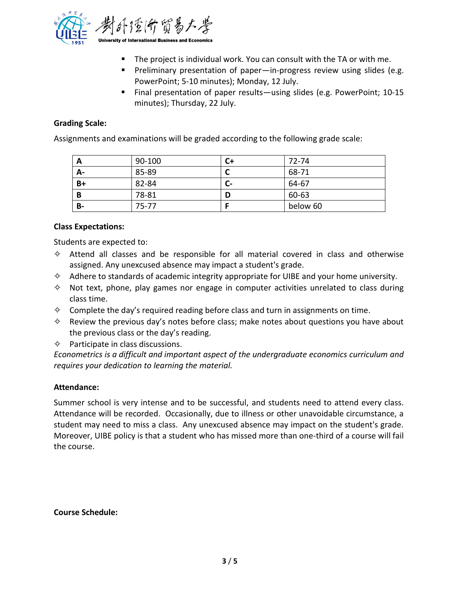

- The project is individual work. You can consult with the TA or with me.
- Preliminary presentation of paper—in-progress review using slides (e.g. PowerPoint; 5-10 minutes); Monday, 12 July.
- Final presentation of paper results—using slides (e.g. PowerPoint; 10-15 minutes); Thursday, 22 July.

## **Grading Scale:**

Assignments and examinations will be graded according to the following grade scale:

| A    | 90-100    | C+ | 72-74    |
|------|-----------|----|----------|
| А-   | 85-89     |    | 68-71    |
| $B+$ | 82-84     | C- | 64-67    |
| B    | 78-81     | D  | 60-63    |
| B-   | $75 - 77$ |    | below 60 |

## **Class Expectations:**

Students are expected to:

- $\diamond$  Attend all classes and be responsible for all material covered in class and otherwise assigned. Any unexcused absence may impact a student's grade.
- $\diamond$  Adhere to standards of academic integrity appropriate for UIBE and your home university.
- $\diamond$  Not text, phone, play games nor engage in computer activities unrelated to class during class time.
- $\diamond$  Complete the day's required reading before class and turn in assignments on time.
- $\diamond$  Review the previous day's notes before class; make notes about questions you have about the previous class or the day's reading.

 $\diamond$  Participate in class discussions.

*Econometrics is a difficult and important aspect of the undergraduate economics curriculum and requires your dedication to learning the material.* 

## **Attendance:**

Summer school is very intense and to be successful, and students need to attend every class. Attendance will be recorded. Occasionally, due to illness or other unavoidable circumstance, a student may need to miss a class. Any unexcused absence may impact on the student's grade. Moreover, UIBE policy is that a student who has missed more than one-third of a course will fail the course.

## **Course Schedule:**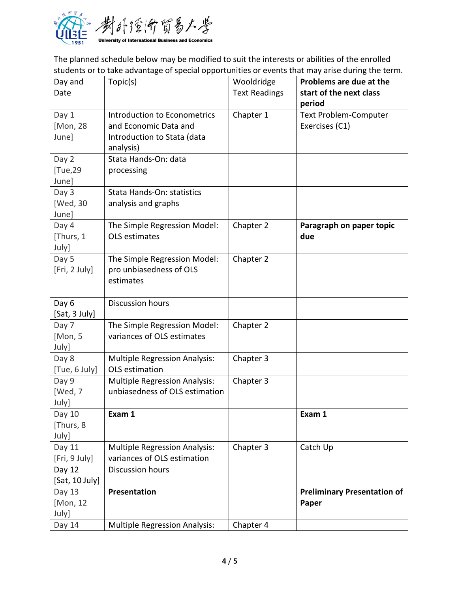

The planned schedule below may be modified to suit the interests or abilities of the enrolled students or to take advantage of special opportunities or events that may arise during the term.

| Day and<br>Date              | Topic(s)                                                                                          | Wooldridge<br><b>Text Readings</b> | Problems are due at the<br>start of the next class<br>period |
|------------------------------|---------------------------------------------------------------------------------------------------|------------------------------------|--------------------------------------------------------------|
| Day 1<br>[Mon, 28<br>June]   | Introduction to Econometrics<br>and Economic Data and<br>Introduction to Stata (data<br>analysis) | Chapter 1                          | <b>Text Problem-Computer</b><br>Exercises (C1)               |
| Day 2<br>[Tue,29<br>June]    | Stata Hands-On: data<br>processing                                                                |                                    |                                                              |
| Day 3<br>[Wed, 30<br>June]   | Stata Hands-On: statistics<br>analysis and graphs                                                 |                                    |                                                              |
| Day 4<br>[Thurs, 1<br>July]  | The Simple Regression Model:<br><b>OLS</b> estimates                                              | Chapter 2                          | Paragraph on paper topic<br>due                              |
| Day 5<br>[Fri, 2 July]       | The Simple Regression Model:<br>pro unbiasedness of OLS<br>estimates                              | Chapter 2                          |                                                              |
| Day 6<br>[Sat, 3 July]       | <b>Discussion hours</b>                                                                           |                                    |                                                              |
| Day 7<br>[Mon, 5<br>July]    | The Simple Regression Model:<br>variances of OLS estimates                                        | Chapter 2                          |                                                              |
| Day 8<br>[Tue, 6 July]       | <b>Multiple Regression Analysis:</b><br>OLS estimation                                            | Chapter 3                          |                                                              |
| Day 9<br>[Wed, 7<br>July]    | <b>Multiple Regression Analysis:</b><br>unbiasedness of OLS estimation                            | Chapter 3                          |                                                              |
| Day 10<br>[Thurs, 8<br>July] | Exam 1                                                                                            |                                    | Exam 1                                                       |
| Day 11<br>[Fri, 9 July]      | <b>Multiple Regression Analysis:</b><br>variances of OLS estimation                               | Chapter 3                          | Catch Up                                                     |
| Day 12<br>[Sat, 10 July]     | <b>Discussion hours</b>                                                                           |                                    |                                                              |
| Day 13<br>[Mon, 12<br>July]  | Presentation                                                                                      |                                    | <b>Preliminary Presentation of</b><br>Paper                  |
| Day 14                       | <b>Multiple Regression Analysis:</b>                                                              | Chapter 4                          |                                                              |